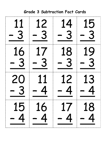| 11  | 12       | 14       | 15            |
|-----|----------|----------|---------------|
| - 3 | - 3      | - 3      | - 3           |
| 16  | 17       | 18       | 19            |
| - 3 | - 3      | $-3$     | $\frac{1}{2}$ |
| 20  | 11       | 12       | 13            |
| - 3 | 4        | 4        | 4             |
| 15  | 16       | 17       | 18            |
| 4   | <u>Д</u> | <u>Д</u> |               |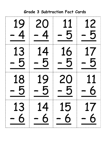| 19  | 20                            | 11      | 12  |
|-----|-------------------------------|---------|-----|
| 4   | $\overline{4}$                | 5       | 5   |
| 13  | 14                            | 16      | 17  |
| - 5 | 5                             | 5       | - 5 |
| 18  | 19                            | 20      | 11  |
| 5   | 5                             | $-5$    | 6   |
| 13  | 14<br>$\overline{\mathbf{b}}$ | 15<br>5 | 17  |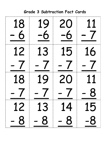| <b>Grade 3 Subtraction Fact Cards</b> |                                |                 |                                |
|---------------------------------------|--------------------------------|-----------------|--------------------------------|
| 18<br>6                               | 19<br>6                        | 20<br>$\cdot 6$ | 11<br>$\overline{\phantom{a}}$ |
| 12                                    | 13<br>$\overline{\phantom{a}}$ | 15              | 16<br>$\overline{\phantom{a}}$ |
| 18                                    | 19                             | 20              | 11                             |
|                                       |                                |                 |                                |
| 12                                    | 13                             | 14              | 15                             |
| 8                                     | 8                              | 8               | -8                             |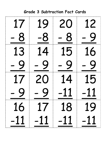| 17          | 19          | 20    | 12    |
|-------------|-------------|-------|-------|
| - 8         | -8          | 8     | 9     |
| 13          | 14          | 15    | 16    |
| - 9         | 9           | 9     | 9     |
| 17          | 20          | 14    | 15    |
| $\mathbf Q$ | $\mathbf Q$ | 11    | 11    |
| 16          | 17          | 18    | 19    |
| $-11$       | $-11$       | $-11$ | $-11$ |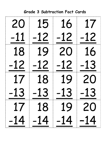| 20    | 15          | 16    | 17        |
|-------|-------------|-------|-----------|
| $-11$ | $-12$       | $-12$ | -12       |
| 18    | 19          | 20    | 16        |
| $-12$ | 12          | -12   | -13       |
| 17    | 18          | 19    | <b>20</b> |
| 13    | 13          | 13    | 13        |
|       | 17 18 19 20 |       |           |
| $-14$ | $-14$       | $-14$ | $-14$     |